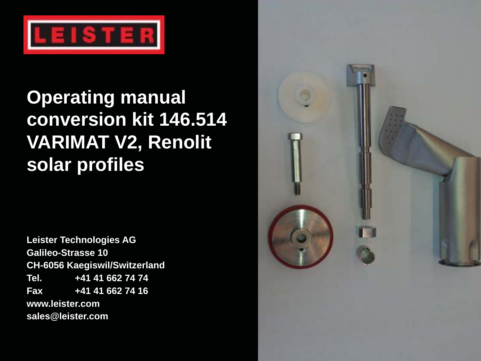

#### **VARIMAT V2 conversion kit 146.514 Operating manual VARIMAT V2, Renolit solar profiles**

**Leister Technologies AG Galileo-Strasse 10 CH-6056 Kaegiswil/Switzerland Tel. +41 41 662 74 74 Fax +41 41 662 74 16 www.leister.com sales@leister.com**

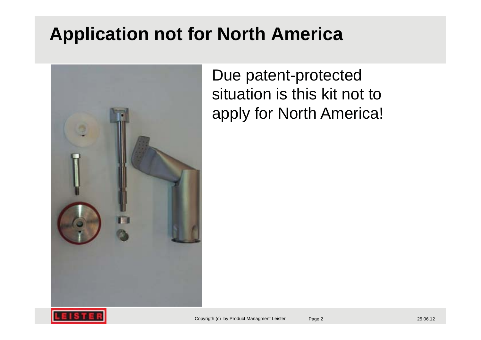# **Application not for North America**



Due patent-protected situation is this kit not to apply for North America!

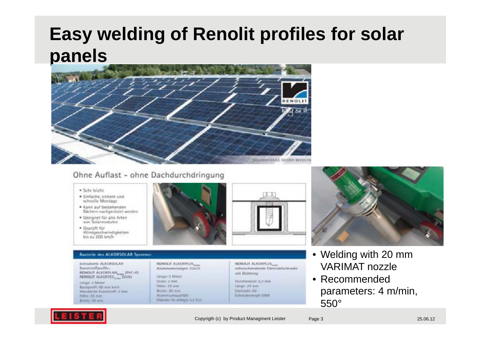# **Easy welding of Renolit profiles for solar panels**



#### Ohne Auflast - ohne Dachdurchdringung

#### · Sehr leicht

- · Einfache, sichere und schnelle Montage
- · Kann auf bestehenden Dächern nachgerüstet werden
- · Geeignet für alle Arten von Solarmodulen
- · Geprüft für Windgeschwindigkeiten bis zu 200 km/h





#### **Bauteile des ALKORSOLAR Systems:**

Extrudierte ALKORSOLAX Kunststoffprofile: RENOLIT ALKOSPLAN $_{\rm{max}}$ (PVC-P)<br>RENOLIT ALKOSTEC....... (EVA) Linge: 3 Meter Basignofil: 80 mm breit Wanddicke Kututstoff: 3 mm Höhe: 33 min.



Holm: 25 mm Breibe: 20 mm Aluminiumqualität: **ENEDED TO ASMAN (US P.2.2)** 

RENOLIT ALXORPLUS, ..... sellstschneidende Edelstablschraube mit Dichtring

Durchmesser: 6,3 mm Llinge: 25 mm Leiststahl: A2 Schrisistenhaut: SWR



- Welding with 20 mm VARIMAT nozzle
- Recommended parameters: 4 m/min, 550°



Breiber: 30 mm

Copyrigth (c) by Product Managment Leister Page 3 25.06.12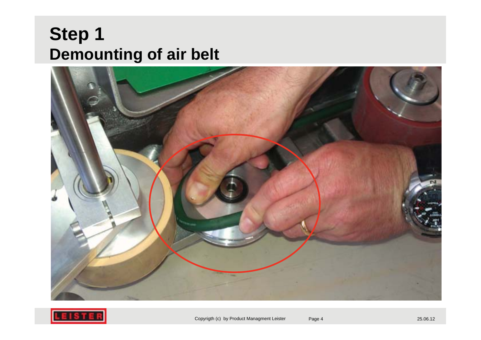# **Step 1 Demounting of air belt**



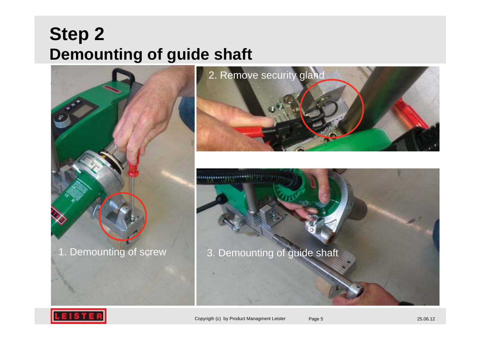#### **Step 2 Demounting of guide shaft**



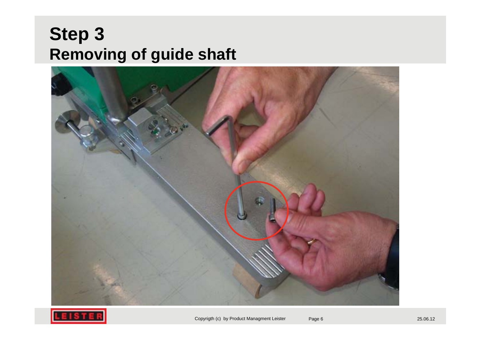# **Step 3 Removing of guide shaft**



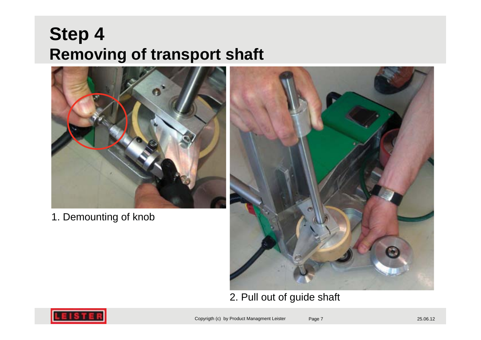# **Step 4 Removing of transport shaft**



1. Demounting of knob



2. Pull out of guide shaft

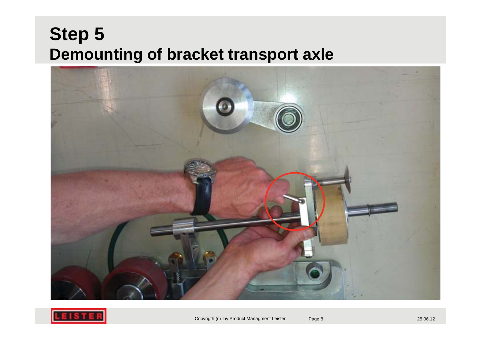## **Step 5 Demounting of bracket transport axle**



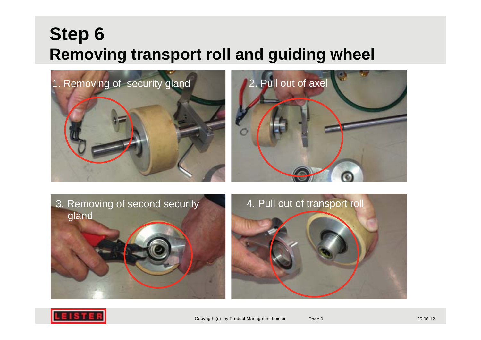## **Step 6 Removing transport roll and guiding wheel**





3. Removing of second security gland





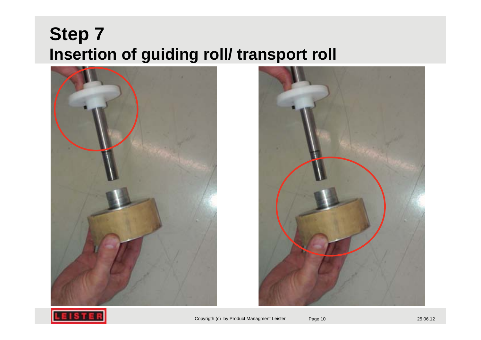# **Step 7 Insertion of guiding roll/ transport roll**







Copyrigth (c) by Product Managment Leister Page 10 25.06.12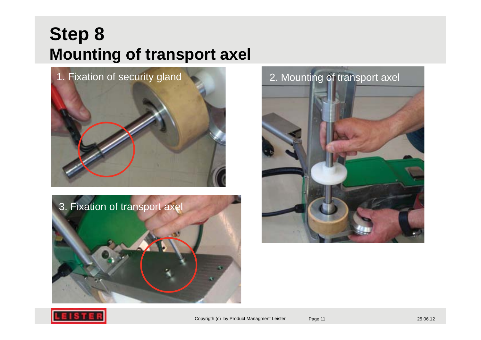# **Step 8 Mounting of transport axel**







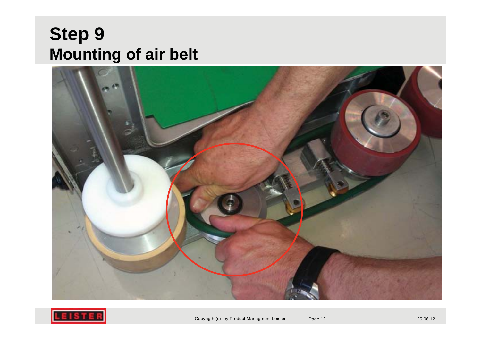# **Step 9 Mounting of air belt**



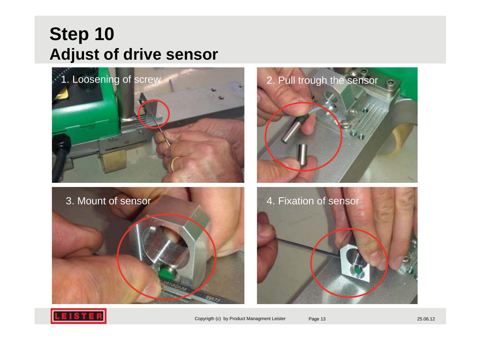# **Step 10 Adjust of drive sensor**











Copyrigth (c) by Product Managment Leister Page 13 25.06.12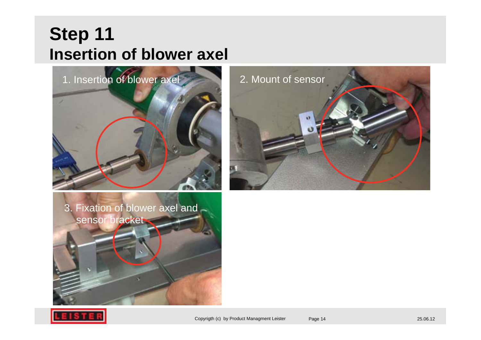# **Step 11 Insertion of blower axel**





3. Fixation of blower axel and sensor bracket

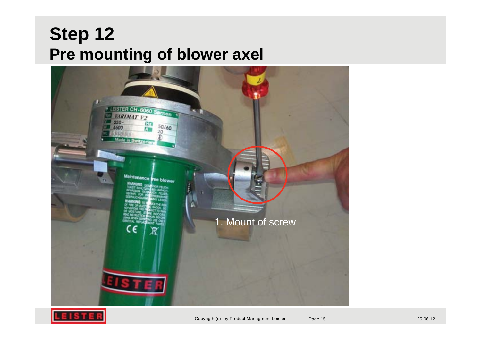## **Step 12 Pre mounting of blower axel**



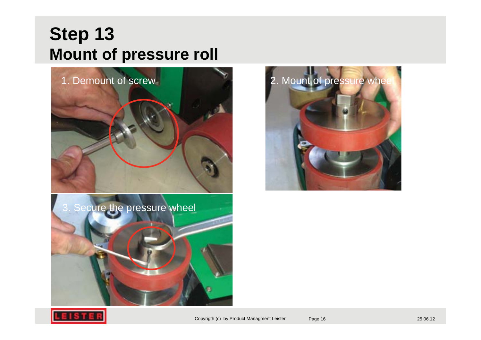# **Step 13 Mount of pressure roll**







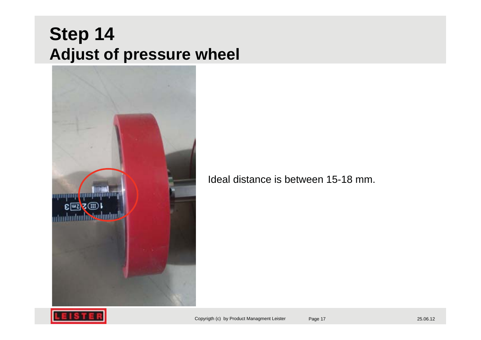#### **Step 14 Adjust of pressure wheel**



Ideal distance is between 15-18 mm.

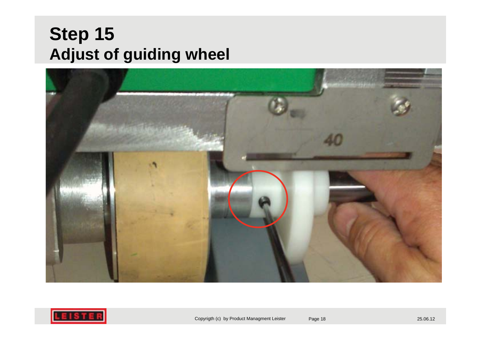# **Step 15 Adjust of guiding wheel**



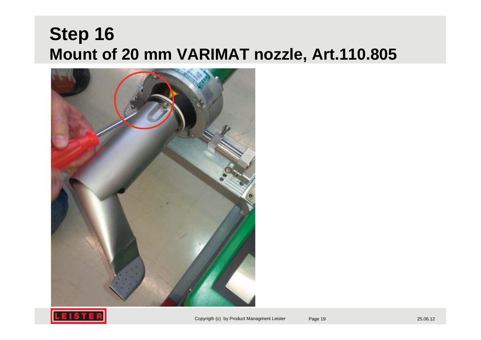#### **Step 16 Mount of 20 mm VARIMAT nozzle, Art.110.805**



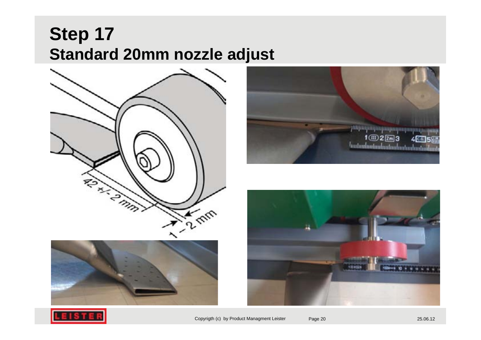#### **Step 17 Standard 20mm nozzle adjust**











Copyrigth (c) by Product Managment Leister Page 20 25.06.12